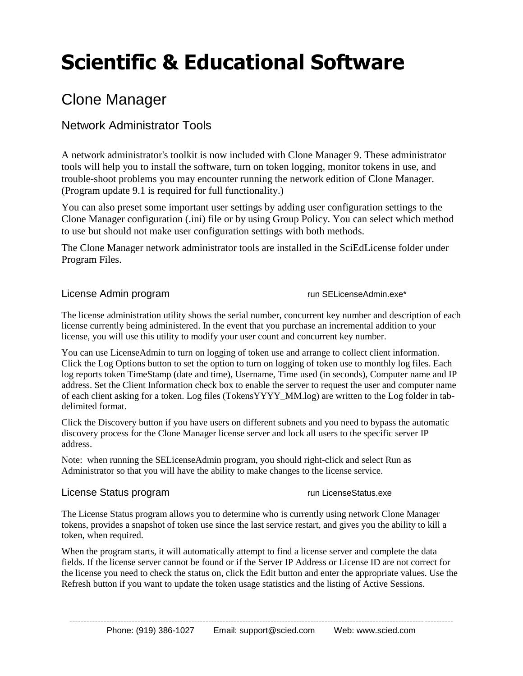# **Scientific & Educational Software**

# Clone Manager

# Network Administrator Tools

A network administrator's toolkit is now included with Clone Manager 9. These administrator tools will help you to install the software, turn on token logging, monitor tokens in use, and trouble-shoot problems you may encounter running the network edition of Clone Manager. (Program update 9.1 is required for full functionality.)

You can also preset some important user settings by adding user configuration settings to the Clone Manager configuration (.ini) file or by using Group Policy. You can select which method to use but should not make user configuration settings with both methods.

The Clone Manager network administrator tools are installed in the SciEdLicense folder under Program Files.

# License Admin program run SELicenseAdmin.exe\*

The license administration utility shows the serial number, concurrent key number and description of each license currently being administered. In the event that you purchase an incremental addition to your license, you will use this utility to modify your user count and concurrent key number.

You can use LicenseAdmin to turn on logging of token use and arrange to collect client information. Click the Log Options button to set the option to turn on logging of token use to monthly log files. Each log reports token TimeStamp (date and time), Username, Time used (in seconds), Computer name and IP address. Set the Client Information check box to enable the server to request the user and computer name of each client asking for a token. Log files (TokensYYYY\_MM.log) are written to the Log folder in tabdelimited format.

Click the Discovery button if you have users on different subnets and you need to bypass the automatic discovery process for the Clone Manager license server and lock all users to the specific server IP address.

Note: when running the SELicenseAdmin program, you should right-click and select Run as Administrator so that you will have the ability to make changes to the license service.

# License Status program and the control of the control of the control of the control of the control of the control of the control of the control of the control of the control of the control of the control of the control of

The License Status program allows you to determine who is currently using network Clone Manager tokens, provides a snapshot of token use since the last service restart, and gives you the ability to kill a token, when required.

When the program starts, it will automatically attempt to find a license server and complete the data fields. If the license server cannot be found or if the Server IP Address or License ID are not correct for the license you need to check the status on, click the Edit button and enter the appropriate values. Use the Refresh button if you want to update the token usage statistics and the listing of Active Sessions.